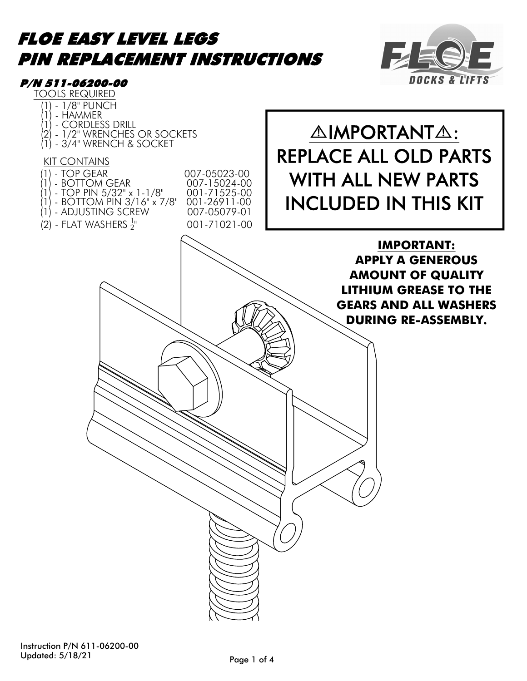#### FLOE EASY LEVEL LEGS PIN REPLACEMENT INSTRUCTIONS FACT



# 007-05023-00 | WITH ALL NEW PARTS **OF EASY LEVEL LEGS<br>
M REPLACEMENT INSTRUCTIONS<br>
(1) - HAMMER SOLURED IN THE SOCKET<br>
(1) - ADVISES DRILL<br>
(2) - CORDIESS DRILL<br>
(2) - CORDIESS DRILL<br>
(2) - CORDIESS DRILL<br>
(2) - BOTTOM GEAR<br>
(1) - BOTTOM GEAR<br>
(1) - BOTTO** (1) - TOP GEAR - BOTTOM GEAR (1) - TOP PIN 5/32" x 1-1/8" 007-15024-00 001-71525-00<br>001-26911-00 **OF EASY LEVEL LEGS<br>
M REPLACEMENT INSTRUCTIONS<br>
1911-06200-00<br>
11-1/8"PUNCH<br>
(1) - HAMMER DRILL<br>
(1) - CORDLESS DRILL<br>
(1) - SOFTOM PIN 3/16" X 7/8" 007-05023-00<br>
(1) - BOTTOM PIN 3/16" x 7/8" 001-26911-00<br>
(1) - BOTTOM P** TOOLS REQUIRED **OF EASY LEVEL LEGS<br>
M REPLACEMENT INSTRUCTIONS<br>
1911-06200-00<br>
<u>OOLS REQUIRED</u><br>(1) - HAMMER<br>(1) - CORDLESS DRILL<br>(2) - 1/2" WRENCHES OR SOCKETS<br>(1) - 3/4" WRENCH & SOCKET<br>KIT CONTAINS OF EASY LEVEL LEGS<br>
M REPLACEMENT INSTRUCTIONS<br>
1911-06200-00<br>
DOLS REQUIRED<br>(1) - T/3" PUNCH<br>(1) - T/2" WRENCHES OR SOCKETS<br>(2) - T/2" WRENCH & SOCKET<br>(1) - 3/4" WRENCH & SOCKET<br><u>KIT CONTAINS</u><br><u>(1) - TOP GEAP</u> OF EASY LEVEL LEGS<br>
M REPLACEMENT INSTRUCTIONS<br>
1811-06200-00<br>
OOLS REQUIRED<br>
(1) - T/8" PUNCH<br>
(1) - CORDLESS DRILL<br>
(1) - CORDLESS DRILL<br>
(1) - TOP GEAR<br>
<u>KIT CONTAINS</u><br>
<u>KIT CONTAINS</u><br>
(1) - TOP GEAR<br>
(1) - TOP GEAR<br>
( OF EASY LEVEL LEGS<br>
M REPLACEMENT INSTRUCTIONS<br>
1911-06200-00<br>
OOLS REQUIRED<br>
(1) - HAMMER<br>
(1) - CORDLESS DRILL<br>
(1) - CORDLESS DRILL<br>
(2) - 1/2" WRENCH & SOCKET<br>
(1) - TOP GEAR<br>
(1) - TOP GEAR<br>
(1) - TOP BIN 622" x 1 1/** ) - 1/2" WRENCHES OR SOCKETS<br>| - 3/4" WRENCH & SOCKET KIT CONTAINS P/N 511-06200-00 **OF EASY LEVEL LEGS<br>
M REPLACEMENT INSTRUCTIONS<br>
1911-06200-00<br>
10.178" PUNCH<br>
(1) - TAYMERS DRILL<br>
(1) - HAMMERS DRILL<br>
(2) - CONTAINS<br>
(2) - TOP GEAR<br>
(1) - TOP GEAR<br>
(1) - BOTTOM GEAR<br>
(1) - BOTTOM GEAR<br>
(1) - BOTTOM P** (2) - FLAT WASHERS  $\frac{1}{2}$ " 001-71021-00 **THE LEGS<br>
MENT INSTRUCTIONS<br>
SOCKETS<br>
SOCKETS<br>
TO CONSOCKETS<br>
ON SOCKETS<br>
ON 1578 1001-71021-00<br>
NITH ALL NEW PART<br>
NITH ALL NEW PART<br>
NITH ALL NEW PART<br>
PART<br>
CONSOLIDED IN THIS K<br>
CONSOLIDED IN THIS K<br>
PRINT APPLY A GE** REPLACE ALL OLD PARTS INCLUDED IN THIS KIT **△IMPORTANT△: IMPORTANT: APPLY A GENEROUS AMOUNT OF QUALITY LITHIUM GREASE TO THE GEARS AND ALL WASHERS DURING RE-ASSEMBLY.**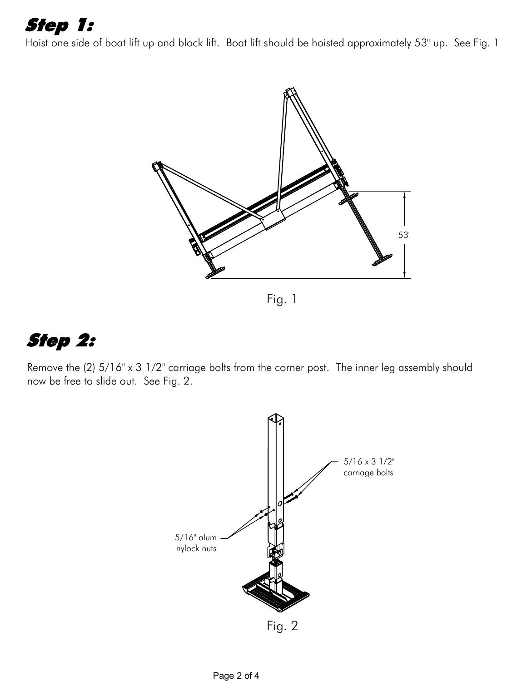# Step 1:

Hoist one side of boat lift up and block lift. Boat lift should be hoisted approximately 53" up. See Fig. 1



Fig. 1

## Step 2:

Remove the (2) 5/16" x 3 1/2" carriage bolts from the corner post. The inner leg assembly should now be free to slide out. See Fig. 2.

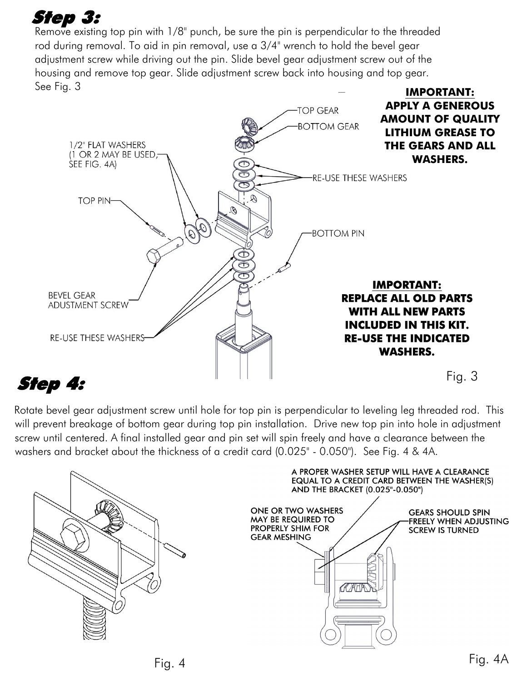## Step 3:

Remove existing top pin with  $1/8$ " punch, be sure the pin is perpendicular to the threaded rod during removal. To aid in pin removal, use a 3/4" wrench to hold the bevel gear adjustment screw while driving out the pin. Slide bevel gear adjustment screw out of the housing and remove top gear. Slide adjustment screw back into housing and top gear. See Fig. 3



## Step 4:

Rotate bevel gear adjustment screw until hole for top pin is perpendicular to leveling leg threaded rod. This will prevent breakage of bottom gear during top pin installation. Drive new top pin into hole in adjustment screw until centered. A final installed gear and pin set will spin freely and have a clearance between the washers and bracket about the thickness of a credit card (0.025" - 0.050"). See Fig. 4 & 4A.